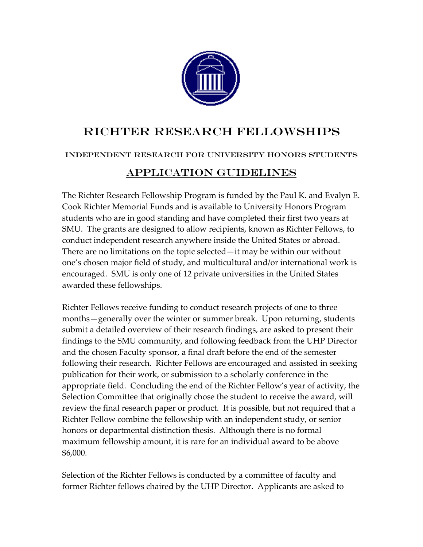

# Richter Research Fellowships

## Independent Research for University Honors Students

# Application Guidelines

The Richter Research Fellowship Program is funded by the Paul K. and Evalyn E. Cook Richter Memorial Funds and is available to University Honors Program students who are in good standing and have completed their first two years at SMU. The grants are designed to allow recipients, known as Richter Fellows, to conduct independent research anywhere inside the United States or abroad. There are no limitations on the topic selected—it may be within our without one's chosen major field of study, and multicultural and/or international work is encouraged. SMU is only one of 12 private universities in the United States awarded these fellowships.

Richter Fellows receive funding to conduct research projects of one to three months—generally over the winter or summer break. Upon returning, students submit a detailed overview of their research findings, are asked to present their findings to the SMU community, and following feedback from the UHP Director and the chosen Faculty sponsor, a final draft before the end of the semester following their research. Richter Fellows are encouraged and assisted in seeking publication for their work, or submission to a scholarly conference in the appropriate field. Concluding the end of the Richter Fellow's year of activity, the Selection Committee that originally chose the student to receive the award, will review the final research paper or product. It is possible, but not required that a Richter Fellow combine the fellowship with an independent study, or senior honors or departmental distinction thesis. Although there is no formal maximum fellowship amount, it is rare for an individual award to be above \$6,000.

Selection of the Richter Fellows is conducted by a committee of faculty and former Richter fellows chaired by the UHP Director. Applicants are asked to